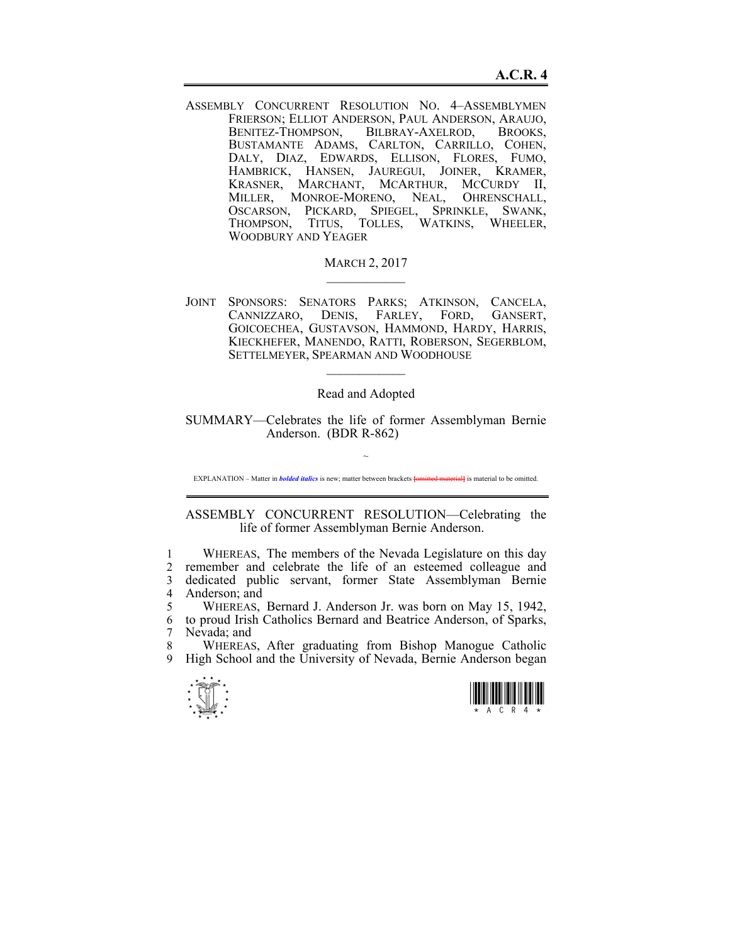ASSEMBLY CONCURRENT RESOLUTION NO. 4–ASSEMBLYMEN FRIERSON; ELLIOT ANDERSON, PAUL ANDERSON, ARAUJO, BENITEZ-THOMPSON, BILBRAY-AXELROD, BROOKS, BUSTAMANTE ADAMS, CARLTON, CARRILLO, COHEN, DALY, DIAZ, EDWARDS, ELLISON, FLORES, FUMO, HAMBRICK, HANSEN, JAUREGUI, JOINER, KRAMER, KRASNER, MARCHANT, MCARTHUR, MCCURDY II, MILLER, MONROE-MORENO, NEAL, OHRENSCHALL, OSCARSON, PICKARD, SPIEGEL, SPRINKLE, SWANK, THOMPSON, TITUS, TOLLES, WATKINS, WHEELER, WOODBURY AND YEAGER

## **MARCH 2, 2017**

JOINT SPONSORS: SENATORS PARKS; ATKINSON, CANCELA, CANNIZZARO, DENIS, FARLEY, FORD, GANSERT, GOICOECHEA, GUSTAVSON, HAMMOND, HARDY, HARRIS, KIECKHEFER, MANENDO, RATTI, ROBERSON, SEGERBLOM, SETTELMEYER, SPEARMAN AND WOODHOUSE

## Read and Adopted

 $\mathcal{L}_\text{max}$ 

SUMMARY—Celebrates the life of former Assemblyman Bernie Anderson. (BDR R-862)

~ EXPLANATION – Matter in *bolded italics* is new; matter between brackets **[**omitted material**]** is material to be omitted.

ASSEMBLY CONCURRENT RESOLUTION—Celebrating the life of former Assemblyman Bernie Anderson.

1 WHEREAS, The members of the Nevada Legislature on this day 2 remember and celebrate the life of an esteemed colleague and 3 dedicated public servant, former State Assemblyman Bernie 4 Anderson; and

5 WHEREAS, Bernard J. Anderson Jr. was born on May 15, 1942, 6 to proud Irish Catholics Bernard and Beatrice Anderson, of Sparks, 7 Nevada; and

8 WHEREAS, After graduating from Bishop Manogue Catholic 9 High School and the University of Nevada, Bernie Anderson began



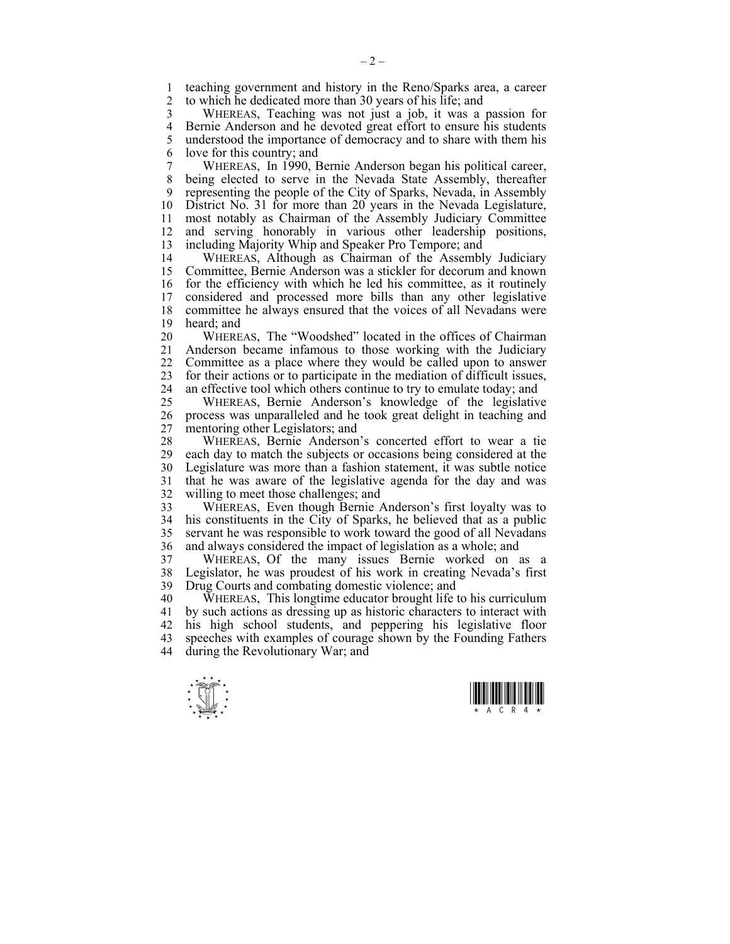1 teaching government and history in the Reno/Sparks area, a career<br>2 to which he dedicated more than 30 years of his life: and 2 to which he dedicated more than 30 years of his life; and

3 WHEREAS, Teaching was not just a job, it was a passion for 4 Bernie Anderson and he devoted great effort to ensure his students<br>5 understood the importance of democracy and to share with them his 5 understood the importance of democracy and to share with them his 6 love for this country; and

7 WHEREAS, In 1990, Bernie Anderson began his political career, 8 being elected to serve in the Nevada State Assembly, thereafter 9 representing the people of the City of Sparks, Nevada, in Assembly 10 District No. 31 for more than 20 years in the Nevada Legislature, 11 most notably as Chairman of the Assembly Judiciary Committee 12 and serving honorably in various other leadership positions, 13 including Majority Whip and Speaker Pro Tempore; and

14 WHEREAS, Although as Chairman of the Assembly Judiciary 15 Committee, Bernie Anderson was a stickler for decorum and known 16 for the efficiency with which he led his committee, as it routinely 17 considered and processed more bills than any other legislative 18 committee he always ensured that the voices of all Nevadans were 19 heard; and

20 WHEREAS, The "Woodshed" located in the offices of Chairman 21 Anderson became infamous to those working with the Judiciary 22 Committee as a place where they would be called upon to answer 23 for their actions or to participate in the mediation of difficult issues, 24 an effective tool which others continue to try to emulate today; and

25 WHEREAS, Bernie Anderson's knowledge of the legislative 26 process was unparalleled and he took great delight in teaching and 27 mentoring other Legislators; and

28 WHEREAS, Bernie Anderson's concerted effort to wear a tie 29 each day to match the subjects or occasions being considered at the 30 Legislature was more than a fashion statement, it was subtle notice 31 that he was aware of the legislative agenda for the day and was 32 willing to meet those challenges; and

33 WHEREAS, Even though Bernie Anderson's first loyalty was to 34 his constituents in the City of Sparks, he believed that as a public 35 servant he was responsible to work toward the good of all Nevadans 36 and always considered the impact of legislation as a whole; and

37 WHEREAS, Of the many issues Bernie worked on as a 38 Legislator, he was proudest of his work in creating Nevada's first 39 Drug Courts and combating domestic violence; and

40 WHEREAS, This longtime educator brought life to his curriculum 41 by such actions as dressing up as historic characters to interact with 42 his high school students, and peppering his legislative floor 43 speeches with examples of courage shown by the Founding Fathers 44 during the Revolutionary War; and